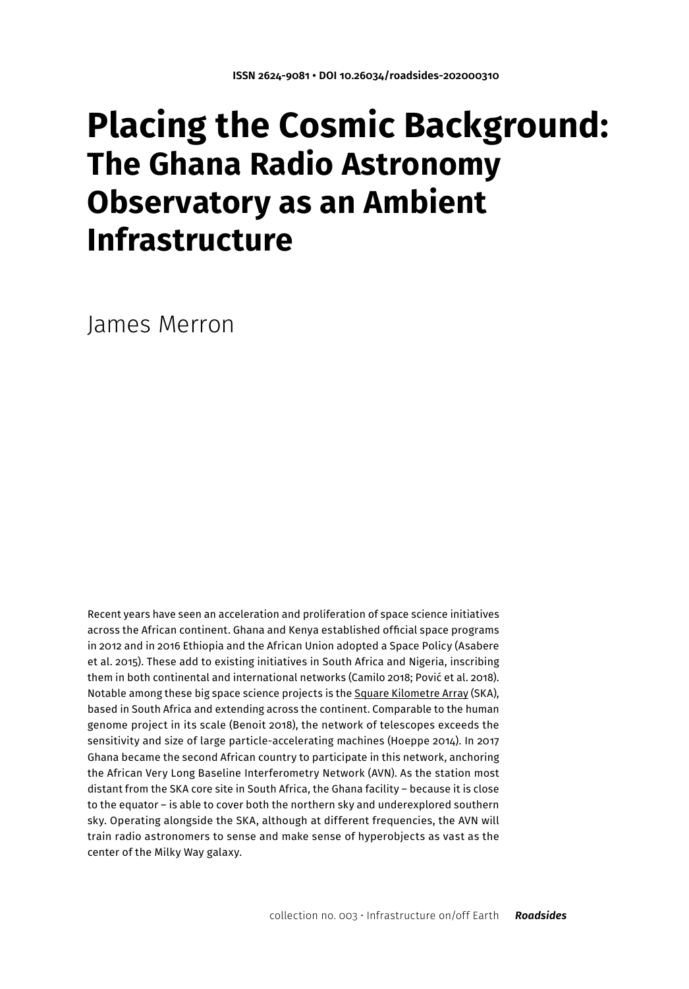# **Placing the Cosmic Background: The Ghana Radio Astronomy Observatory as an Ambient Infrastructure**

James Merron

Recent years have seen an acceleration and proliferation of space science initiatives across the African continent. Ghana and Kenya established official space programs in 2012 and in 2016 Ethiopia and the African Union adopted a Space Policy (Asabere et al. 2015). These add to existing initiatives in South Africa and Nigeria, inscribing them in both continental and international networks (Camilo 2018; Pović et al. 2018). Notable among these big space science projects is the [Square Kilometre Array](https://en.wikipedia.org/wiki/Square_Kilometre_Array) (SKA), based in South Africa and extending across the continent. Comparable to the human genome project in its scale (Benoit 2018), the network of telescopes exceeds the sensitivity and size of large particle-accelerating machines (Hoeppe 2014). In 2017 Ghana became the second African country to participate in this network, anchoring the African Very Long Baseline Interferometry Network (AVN). As the station most distant from the SKA core site in South Africa, the Ghana facility – because it is close to the equator – is able to cover both the northern sky and underexplored southern sky. Operating alongside the SKA, although at different frequencies, the AVN will train radio astronomers to sense and make sense of hyperobjects as vast as the center of the Milky Way galaxy.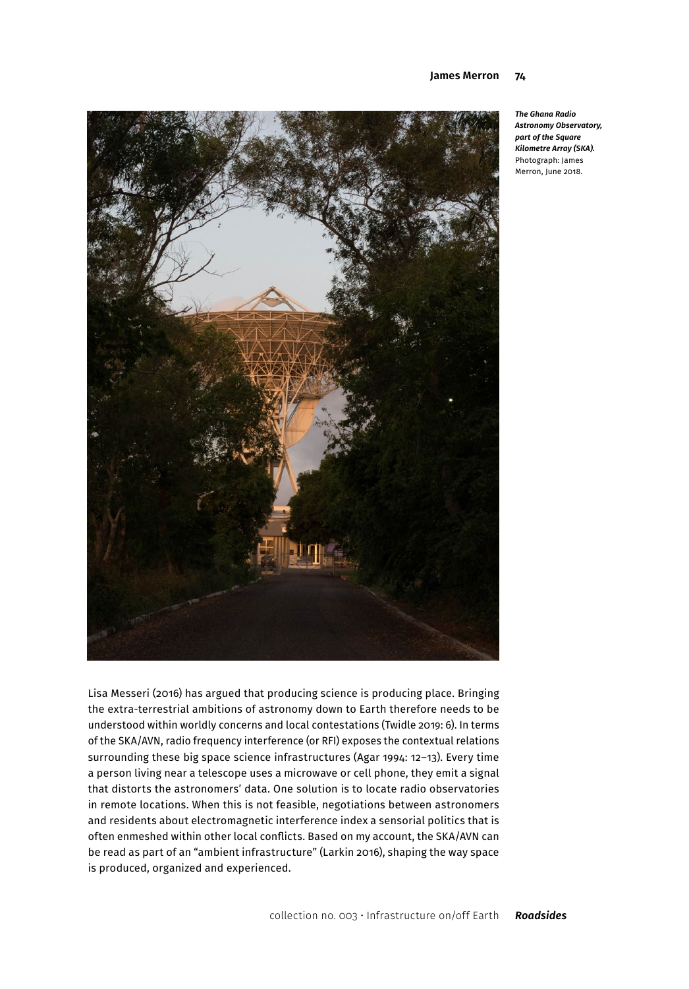

*The Ghana Radio Astronomy Observatory, part of the Square Kilometre Array (SKA).* Photograph: James Merron, June 2018.

Lisa Messeri (2016) has argued that producing science is producing place. Bringing the extra-terrestrial ambitions of astronomy down to Earth therefore needs to be understood within worldly concerns and local contestations (Twidle 2019: 6). In terms of the SKA/AVN, radio frequency interference (or RFI) exposes the contextual relations surrounding these big space science infrastructures (Agar 1994: 12–13). Every time a person living near a telescope uses a microwave or cell phone, they emit a signal that distorts the astronomers' data. One solution is to locate radio observatories in remote locations. When this is not feasible, negotiations between astronomers and residents about electromagnetic interference index a sensorial politics that is often enmeshed within other local conflicts. Based on my account, the SKA/AVN can be read as part of an "ambient infrastructure" (Larkin 2016), shaping the way space is produced, organized and experienced.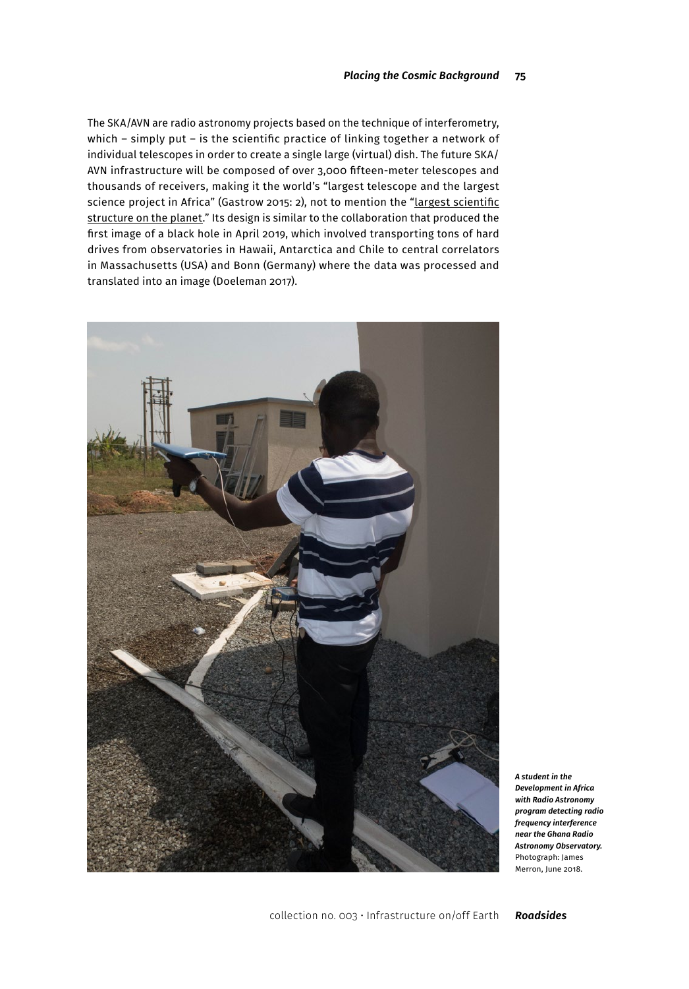The SKA/AVN are radio astronomy projects based on the technique of interferometry, which – simply put – is the scientific practice of linking together a network of individual telescopes in order to create a single large (virtual) dish. The future SKA/ AVN infrastructure will be composed of over 3,000 fifteen-meter telescopes and thousands of receivers, making it the world's "largest telescope and the largest science project in Africa" (Gastrow 2015: 2), not to mention the "Largest scientific [structure on the planet.](https://www.wired.com/story/square-kilometre-array-largest-scientific-structure-ever-africa/)" Its design is similar to the collaboration that produced the first image of a black hole in April 2019, which involved transporting tons of hard drives from observatories in Hawaii, Antarctica and Chile to central correlators in Massachusetts (USA) and Bonn (Germany) where the data was processed and translated into an image (Doeleman 2017).



*A student in the Development in Africa with Radio Astronomy program detecting radio frequency interference near the Ghana Radio Astronomy Observatory.* Photograph: James Merron, June 2018.

collection no. 003 • Infrastructure on/off Earth *Roadsides*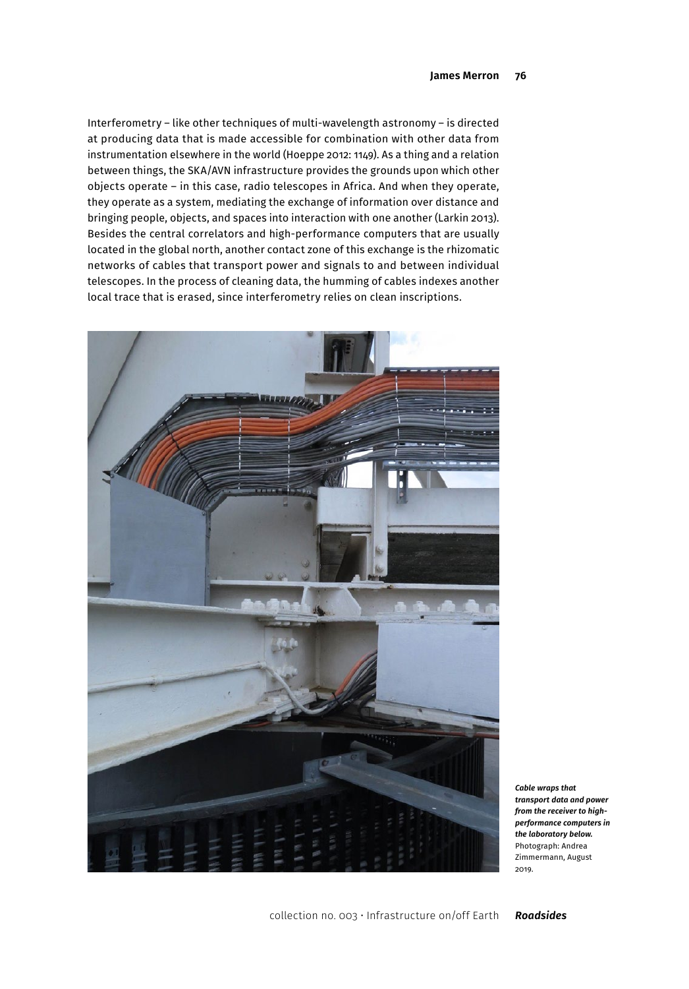Interferometry – like other techniques of multi-wavelength astronomy – is directed at producing data that is made accessible for combination with other data from instrumentation elsewhere in the world (Hoeppe 2012: 1149). As a thing and a relation between things, the SKA/AVN infrastructure provides the grounds upon which other objects operate – in this case, radio telescopes in Africa. And when they operate, they operate as a system, mediating the exchange of information over distance and bringing people, objects, and spaces into interaction with one another (Larkin 2013). Besides the central correlators and high-performance computers that are usually located in the global north, another contact zone of this exchange is the rhizomatic networks of cables that transport power and signals to and between individual telescopes. In the process of cleaning data, the humming of cables indexes another local trace that is erased, since interferometry relies on clean inscriptions.



*Cable wraps that transport data and power from the receiver to highperformance computers in the laboratory below.* Photograph: Andrea Zimmermann, August 2019.

collection no. 003 • Infrastructure on/off Earth *Roadsides*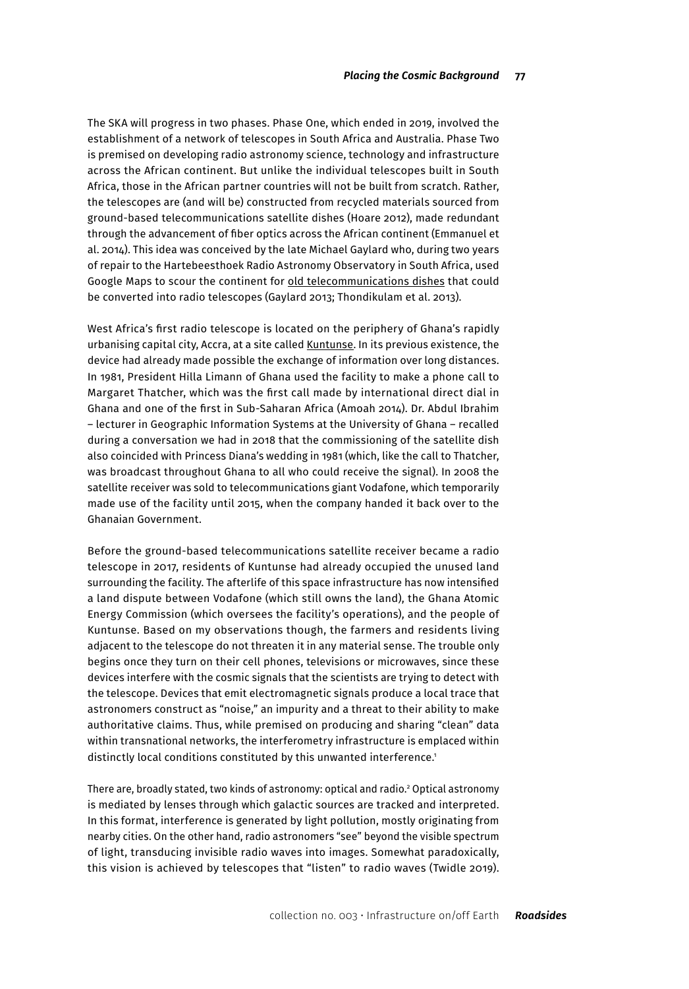The SKA will progress in two phases. Phase One, which ended in 2019, involved the establishment of a network of telescopes in South Africa and Australia. Phase Two is premised on developing radio astronomy science, technology and infrastructure across the African continent. But unlike the individual telescopes built in South Africa, those in the African partner countries will not be built from scratch. Rather, the telescopes are (and will be) constructed from recycled materials sourced from ground-based telecommunications satellite dishes (Hoare 2012), made redundant through the advancement of fiber optics across the African continent (Emmanuel et al. 2014). This idea was conceived by the late Michael Gaylard who, during two years of repair to the Hartebeesthoek Radio Astronomy Observatory in South Africa, used Google Maps to scour the continent for [old telecommunications dishes](https://www.researchgate.net/publication/262690091_An_African_VLBI_network_of_radio_telescopes) that could be converted into radio telescopes (Gaylard 2013; Thondikulam et al. 2013).

West Africa's first radio telescope is located on the periphery of Ghana's rapidly urbanising capital city, Accra, at a site called [Kuntunse.](https://www.google.com/maps/place/Ghana+Radio+Astronomy+Observatory,+Kutunse,+Ghana/@5.75059,-0.3073383,17z/data=!3m1!4b1!4m5!3m4!1s0xfdf0ab61be31e17:0x7ad88de34f8740f2!8m2!3d5.75059!4d-0.3051496) In its previous existence, the device had already made possible the exchange of information over long distances. In 1981, President Hilla Limann of Ghana used the facility to make a phone call to Margaret Thatcher, which was the first call made by international direct dial in Ghana and one of the first in Sub-Saharan Africa (Amoah 2014). Dr. Abdul Ibrahim – lecturer in Geographic Information Systems at the University of Ghana – recalled during a conversation we had in 2018 that the commissioning of the satellite dish also coincided with Princess Diana's wedding in 1981 (which, like the call to Thatcher, was broadcast throughout Ghana to all who could receive the signal). In 2008 the satellite receiver was sold to telecommunications giant Vodafone, which temporarily made use of the facility until 2015, when the company handed it back over to the Ghanaian Government.

Before the ground-based telecommunications satellite receiver became a radio telescope in 2017, residents of Kuntunse had already occupied the unused land surrounding the facility. The afterlife of this space infrastructure has now intensified a land dispute between Vodafone (which still owns the land), the Ghana Atomic Energy Commission (which oversees the facility's operations), and the people of Kuntunse. Based on my observations though, the farmers and residents living adjacent to the telescope do not threaten it in any material sense. The trouble only begins once they turn on their cell phones, televisions or microwaves, since these devices interfere with the cosmic signals that the scientists are trying to detect with the telescope. Devices that emit electromagnetic signals produce a local trace that astronomers construct as "noise," an impurity and a threat to their ability to make authoritative claims. Thus, while premised on producing and sharing "clean" data within transnational networks, the interferometry infrastructure is emplaced within distinctly local conditions constituted by this unwanted interference.<sup>1</sup>

There are, broadly stated, two kinds of astronomy: optical and radio.2 Optical astronomy is mediated by lenses through which galactic sources are tracked and interpreted. In this format, interference is generated by light pollution, mostly originating from nearby cities. On the other hand, radio astronomers "see" beyond the visible spectrum of light, transducing invisible radio waves into images. Somewhat paradoxically, this vision is achieved by telescopes that "listen" to radio waves (Twidle 2019).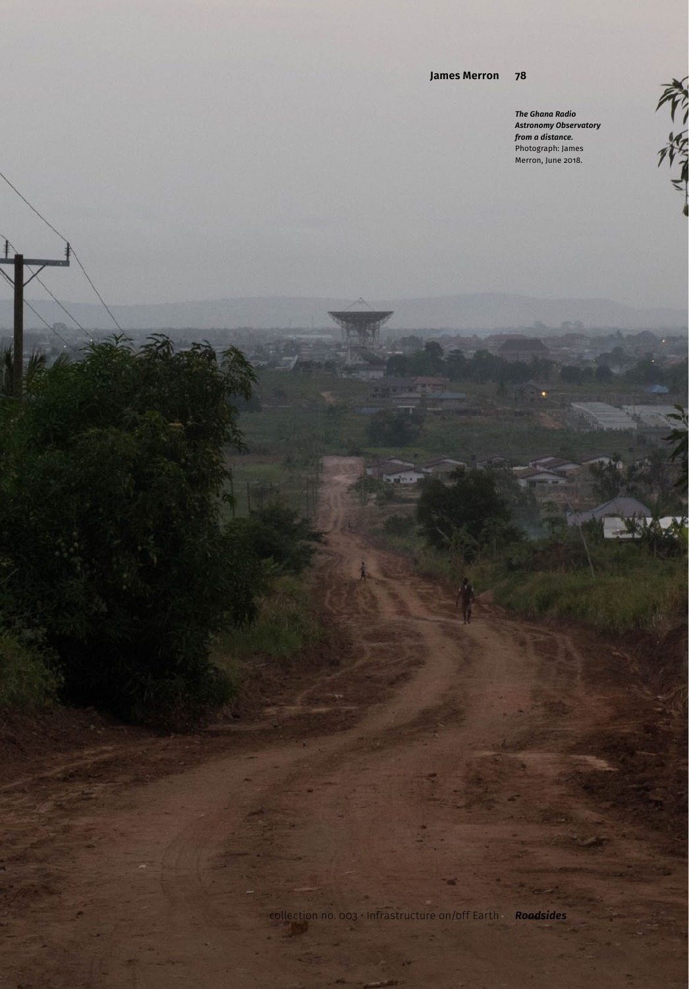#### **78 James Merron**

*The Ghana Radio Astronomy Observatory from a distance.* Photograph: James Merron, June 2018.

不作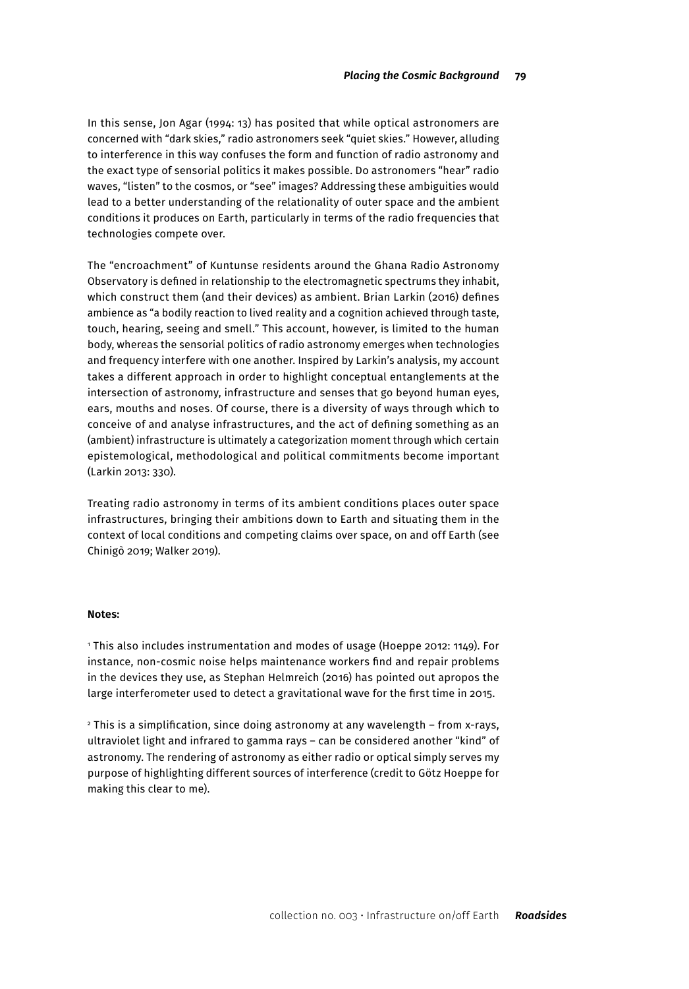In this sense, Jon Agar (1994: 13) has posited that while optical astronomers are concerned with "dark skies," radio astronomers seek "quiet skies." However, alluding to interference in this way confuses the form and function of radio astronomy and the exact type of sensorial politics it makes possible. Do astronomers "hear" radio waves, "listen" to the cosmos, or "see" images? Addressing these ambiguities would lead to a better understanding of the relationality of outer space and the ambient conditions it produces on Earth, particularly in terms of the radio frequencies that technologies compete over.

The "encroachment" of Kuntunse residents around the Ghana Radio Astronomy Observatory is defined in relationship to the electromagnetic spectrums they inhabit, which construct them (and their devices) as ambient. Brian Larkin (2016) defines ambience as "a bodily reaction to lived reality and a cognition achieved through taste, touch, hearing, seeing and smell." This account, however, is limited to the human body, whereas the sensorial politics of radio astronomy emerges when technologies and frequency interfere with one another. Inspired by Larkin's analysis, my account takes a different approach in order to highlight conceptual entanglements at the intersection of astronomy, infrastructure and senses that go beyond human eyes, ears, mouths and noses. Of course, there is a diversity of ways through which to conceive of and analyse infrastructures, and the act of defining something as an (ambient) infrastructure is ultimately a categorization moment through which certain epistemological, methodological and political commitments become important (Larkin 2013: 330).

Treating radio astronomy in terms of its ambient conditions places outer space infrastructures, bringing their ambitions down to Earth and situating them in the context of local conditions and competing claims over space, on and off Earth (see Chinigò 2019; Walker 2019).

#### **Notes:**

1 This also includes instrumentation and modes of usage (Hoeppe 2012: 1149). For instance, non-cosmic noise helps maintenance workers find and repair problems in the devices they use, as Stephan Helmreich (2016) has pointed out apropos the large interferometer used to detect a gravitational wave for the first time in 2015.

2 This is a simplification, since doing astronomy at any wavelength – from x-rays, ultraviolet light and infrared to gamma rays – can be considered another "kind" of astronomy. The rendering of astronomy as either radio or optical simply serves my purpose of highlighting different sources of interference (credit to Götz Hoeppe for making this clear to me).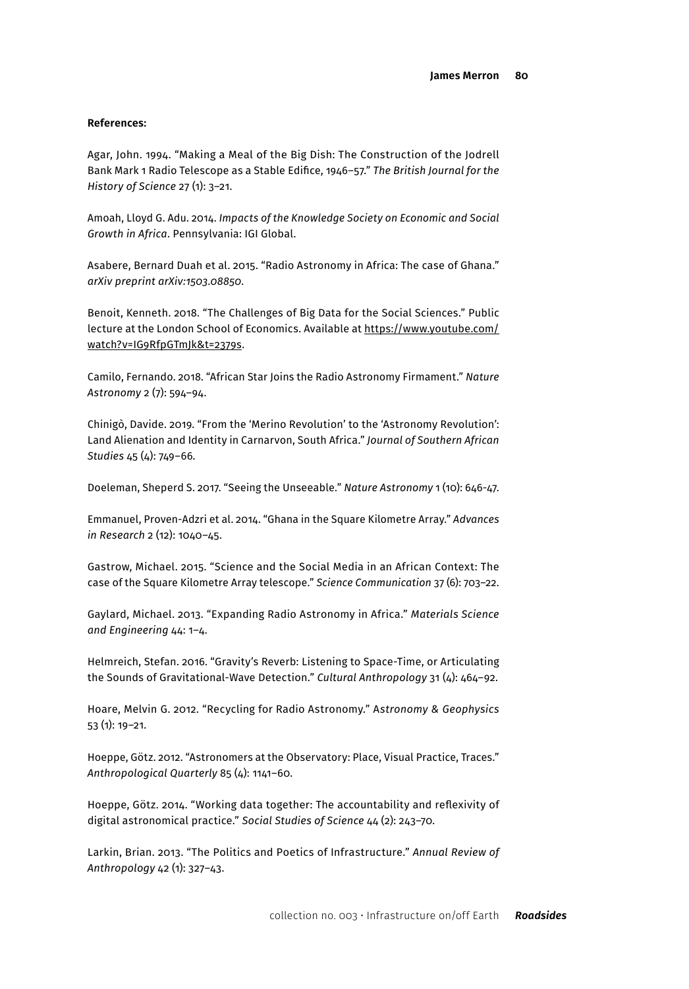#### **References:**

Agar, John. 1994. "Making a Meal of the Big Dish: The Construction of the Jodrell Bank Mark 1 Radio Telescope as a Stable Edifice, 1946–57." *The British Journal for the History of Science* 27 (1): 3–21.

Amoah, Lloyd G. Adu. 2014. *Impacts of the Knowledge Society on Economic and Social Growth in Africa*. Pennsylvania: IGI Global.

Asabere, Bernard Duah et al. 2015. "Radio Astronomy in Africa: The case of Ghana." *arXiv preprint arXiv:1503.08850*.

Benoit, Kenneth. 2018. "The Challenges of Big Data for the Social Sciences." Public lecture at the London School of Economics. Available at [https://www.youtube.com/](https://www.youtube.com/watch?v=IG9RfpGTmJk&t=2379s) [watch?v=IG9RfpGTmJk&t=2379s](https://www.youtube.com/watch?v=IG9RfpGTmJk&t=2379s).

Camilo, Fernando. 2018. "African Star Joins the Radio Astronomy Firmament." *Nature Astronomy* 2 (7): 594–94.

Chinigò, Davide. 2019. "From the 'Merino Revolution' to the 'Astronomy Revolution': Land Alienation and Identity in Carnarvon, South Africa." *Journal of Southern African Studies* 45 (4): 749–66.

Doeleman, Sheperd S. 2017. "Seeing the Unseeable." *Nature Astronomy* 1 (10): 646-47.

Emmanuel, Proven-Adzri et al. 2014. "Ghana in the Square Kilometre Array." *Advances in Research* 2 (12): 1040–45.

Gastrow, Michael. 2015. "Science and the Social Media in an African Context: The case of the Square Kilometre Array telescope." *Science Communication* 37 (6): 703–22.

Gaylard, Michael. 2013. "Expanding Radio Astronomy in Africa." *Materials Science and Engineering* 44: 1–4.

Helmreich, Stefan. 2016. "Gravity's Reverb: Listening to Space-Time, or Articulating the Sounds of Gravitational-Wave Detection." *Cultural Anthropology* 31 (4): 464–92.

Hoare, Melvin G. 2012. "Recycling for Radio Astronomy." A*stronomy & Geophysics*  53 (1): 19–21.

Hoeppe, Götz. 2012. "Astronomers at the Observatory: Place, Visual Practice, Traces." *Anthropological Quarterly* 85 (4): 1141–60.

Hoeppe, Götz. 2014. "Working data together: The accountability and reflexivity of digital astronomical practice." *Social Studies of Science* 44 (2): 243–70.

Larkin, Brian. 2013. "The Politics and Poetics of Infrastructure." *Annual Review of Anthropology* 42 (1): 327–43.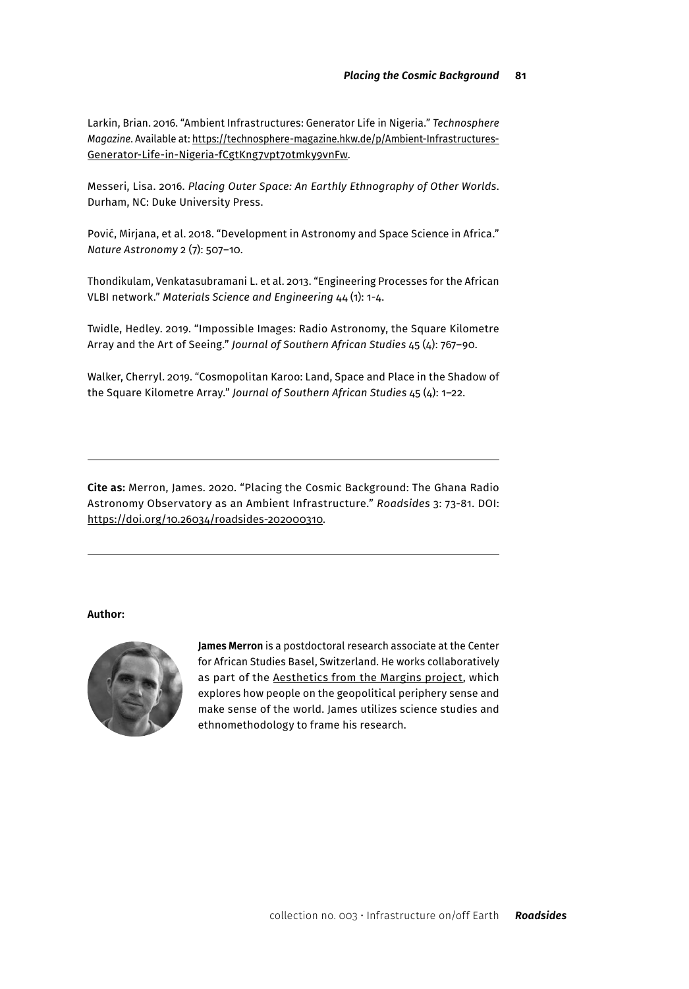Larkin, Brian. 2016. "Ambient Infrastructures: Generator Life in Nigeria." *Technosphere Magazine*. Available at: [https://technosphere-magazine.hkw.de/p/Ambient-Infrastructures-](https://technosphere-magazine.hkw.de/p/Ambient-Infrastructures-Generator-Life-in-Nigeria-fCgtKng7vpt7otmky9vnFw)[Generator-Life-in-Nigeria-fCgtKng7vpt7otmky9vnFw](https://technosphere-magazine.hkw.de/p/Ambient-Infrastructures-Generator-Life-in-Nigeria-fCgtKng7vpt7otmky9vnFw).

Messeri, Lisa. 2016. *Placing Outer Space: An Earthly Ethnography of Other Worlds*. Durham, NC: Duke University Press.

Pović, Mirjana, et al. 2018. "Development in Astronomy and Space Science in Africa." *Nature Astronomy* 2 (7): 507–10.

Thondikulam, Venkatasubramani L. et al. 2013. "Engineering Processes for the African VLBI network." *Materials Science and Engineering* 44 (1): 1-4.

Twidle, Hedley. 2019. "Impossible Images: Radio Astronomy, the Square Kilometre Array and the Art of Seeing." *Journal of Southern African Studies* 45 (4): 767–90.

Walker, Cherryl. 2019. "Cosmopolitan Karoo: Land, Space and Place in the Shadow of the Square Kilometre Array." *Journal of Southern African Studies* 45 (4): 1–22.

**Cite as:** Merron, James. 2020. "Placing the Cosmic Background: The Ghana Radio Astronomy Observatory as an Ambient Infrastructure." *Roadsides* 3: 73-81. DOI: [https://doi.org/10.26034/roadsides-202000310.](https://doi.org/10.26034/roadsides-202000310)

### **Author:**



**James Merron** is a postdoctoral research associate at the Center for African Studies Basel, Switzerland. He works collaboratively as part of the [Aesthetics from the Margins project](https://zasb.unibas.ch/en/research/research-projects/aesthetics-from-the-margins/), which explores how people on the geopolitical periphery sense and make sense of the world. James utilizes science studies and ethnomethodology to frame his research.